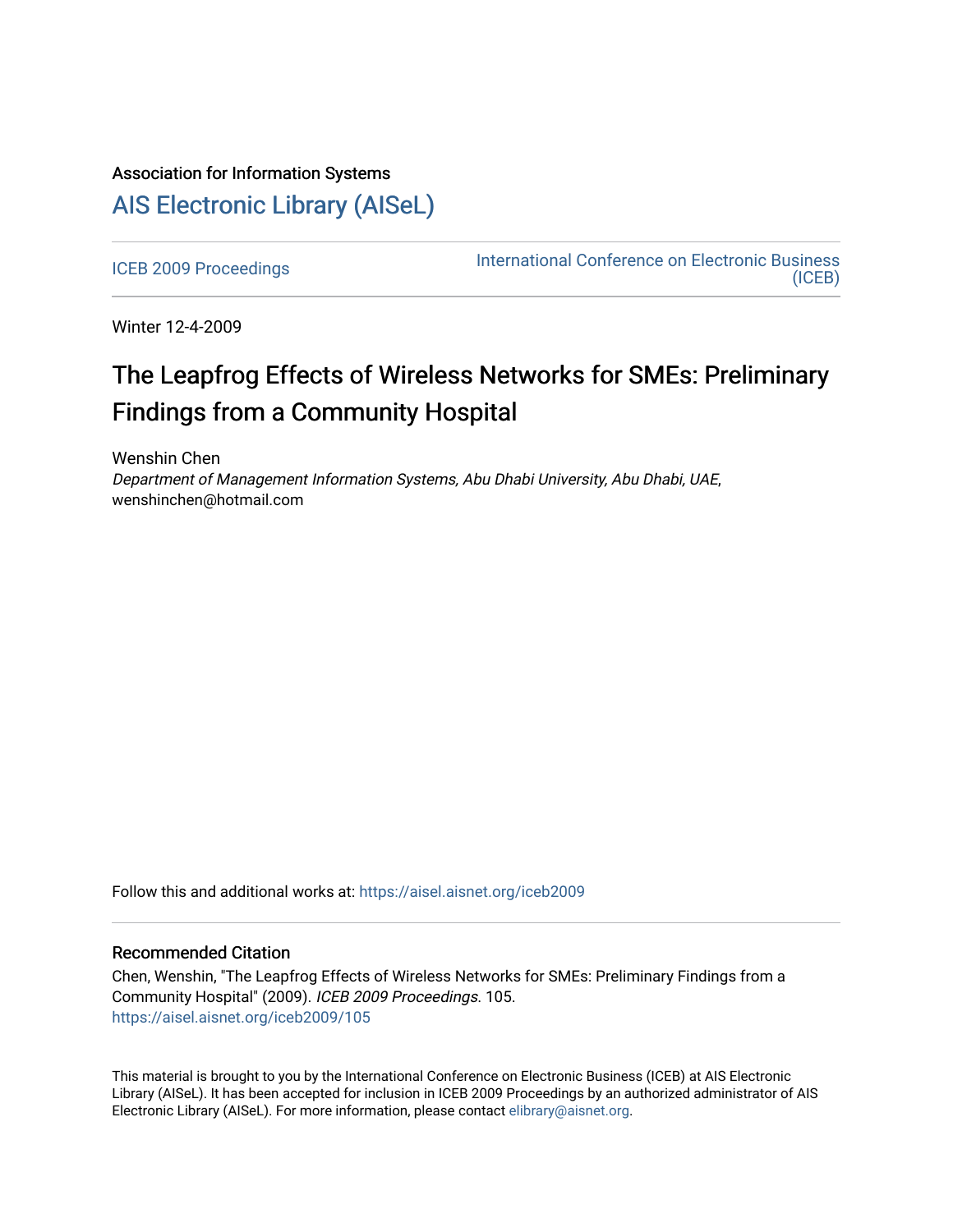# Association for Information Systems

# [AIS Electronic Library \(AISeL\)](https://aisel.aisnet.org/)

[ICEB 2009 Proceedings](https://aisel.aisnet.org/iceb2009) **International Conference on Electronic Business** [\(ICEB\)](https://aisel.aisnet.org/iceb) 

Winter 12-4-2009

# The Leapfrog Effects of Wireless Networks for SMEs: Preliminary Findings from a Community Hospital

Wenshin Chen Department of Management Information Systems, Abu Dhabi University, Abu Dhabi, UAE, wenshinchen@hotmail.com

Follow this and additional works at: [https://aisel.aisnet.org/iceb2009](https://aisel.aisnet.org/iceb2009?utm_source=aisel.aisnet.org%2Ficeb2009%2F105&utm_medium=PDF&utm_campaign=PDFCoverPages)

## Recommended Citation

Chen, Wenshin, "The Leapfrog Effects of Wireless Networks for SMEs: Preliminary Findings from a Community Hospital" (2009). ICEB 2009 Proceedings. 105. [https://aisel.aisnet.org/iceb2009/105](https://aisel.aisnet.org/iceb2009/105?utm_source=aisel.aisnet.org%2Ficeb2009%2F105&utm_medium=PDF&utm_campaign=PDFCoverPages)

This material is brought to you by the International Conference on Electronic Business (ICEB) at AIS Electronic Library (AISeL). It has been accepted for inclusion in ICEB 2009 Proceedings by an authorized administrator of AIS Electronic Library (AISeL). For more information, please contact [elibrary@aisnet.org.](mailto:elibrary@aisnet.org%3E)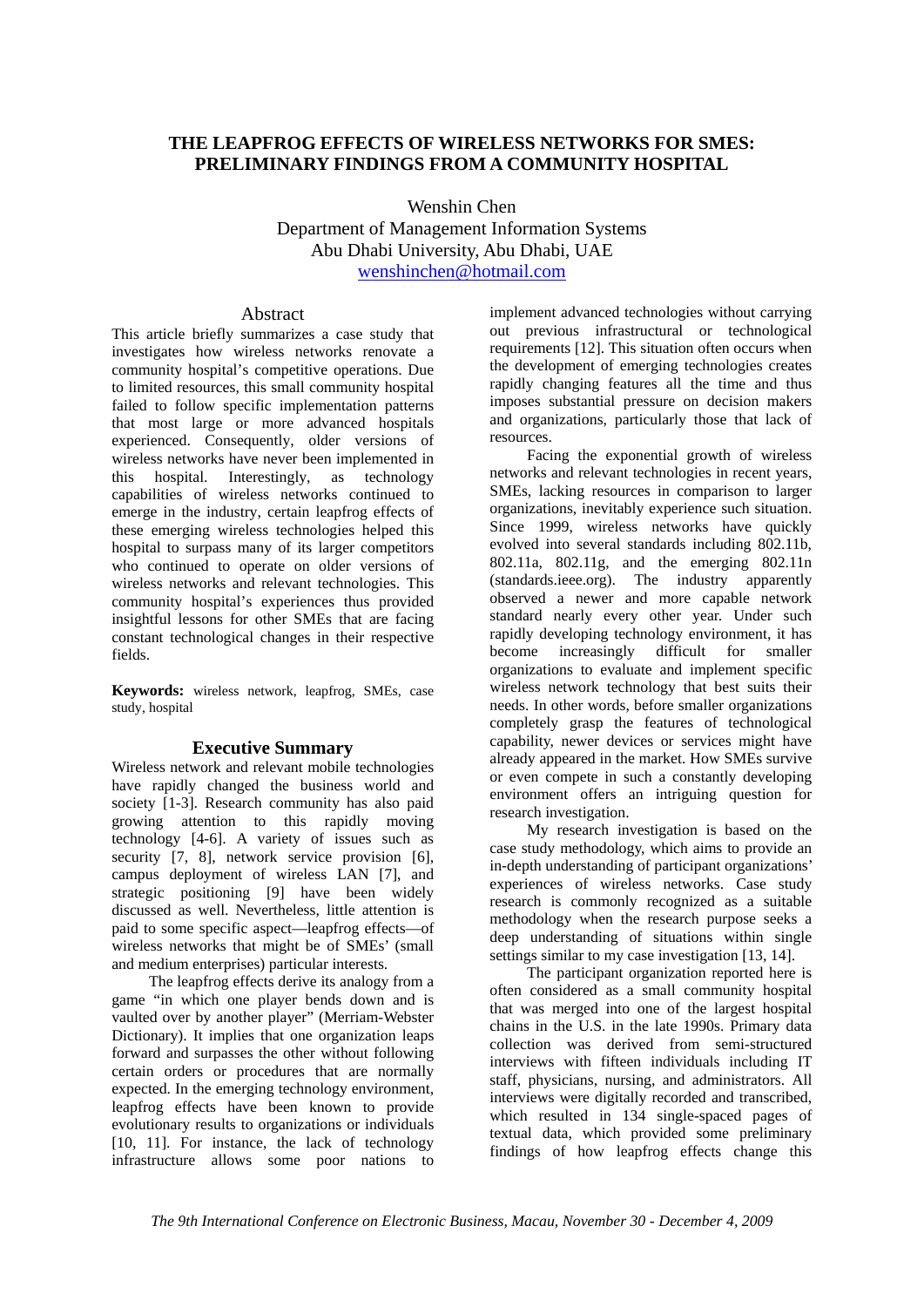## **THE LEAPFROG EFFECTS OF WIRELESS NETWORKS FOR SMES: PRELIMINARY FINDINGS FROM A COMMUNITY HOSPITAL**

Wenshin Chen Department of Management Information Systems Abu Dhabi University, Abu Dhabi, UAE wenshinchen@hotmail.com

### Abstract

This article briefly summarizes a case study that investigates how wireless networks renovate a community hospital's competitive operations. Due to limited resources, this small community hospital failed to follow specific implementation patterns that most large or more advanced hospitals experienced. Consequently, older versions of wireless networks have never been implemented in this hospital. Interestingly, as technology capabilities of wireless networks continued to emerge in the industry, certain leapfrog effects of these emerging wireless technologies helped this hospital to surpass many of its larger competitors who continued to operate on older versions of wireless networks and relevant technologies. This community hospital's experiences thus provided insightful lessons for other SMEs that are facing constant technological changes in their respective fields.

**Keywords:** wireless network, leapfrog, SMEs, case study, hospital

### **Executive Summary**

Wireless network and relevant mobile technologies have rapidly changed the business world and society [1-3]. Research community has also paid growing attention to this rapidly moving technology [4-6]. A variety of issues such as security [7, 8], network service provision [6], campus deployment of wireless LAN [7], and strategic positioning [9] have been widely discussed as well. Nevertheless, little attention is paid to some specific aspect—leapfrog effects—of wireless networks that might be of SMEs' (small and medium enterprises) particular interests.

The leapfrog effects derive its analogy from a game "in which one player bends down and is vaulted over by another player" (Merriam-Webster Dictionary). It implies that one organization leaps forward and surpasses the other without following certain orders or procedures that are normally expected. In the emerging technology environment, leapfrog effects have been known to provide evolutionary results to organizations or individuals [10, 11]. For instance, the lack of technology infrastructure allows some poor nations to

implement advanced technologies without carrying out previous infrastructural or technological requirements [12]. This situation often occurs when the development of emerging technologies creates rapidly changing features all the time and thus imposes substantial pressure on decision makers and organizations, particularly those that lack of resources.

Facing the exponential growth of wireless networks and relevant technologies in recent years, SMEs, lacking resources in comparison to larger organizations, inevitably experience such situation. Since 1999, wireless networks have quickly evolved into several standards including 802.11b, 802.11a, 802.11g, and the emerging 802.11n (standards.ieee.org). The industry apparently observed a newer and more capable network standard nearly every other year. Under such rapidly developing technology environment, it has become increasingly difficult for smaller organizations to evaluate and implement specific wireless network technology that best suits their needs. In other words, before smaller organizations completely grasp the features of technological capability, newer devices or services might have already appeared in the market. How SMEs survive or even compete in such a constantly developing environment offers an intriguing question for research investigation.

My research investigation is based on the case study methodology, which aims to provide an in-depth understanding of participant organizations' experiences of wireless networks. Case study research is commonly recognized as a suitable methodology when the research purpose seeks a deep understanding of situations within single settings similar to my case investigation [13, 14].

The participant organization reported here is often considered as a small community hospital that was merged into one of the largest hospital chains in the U.S. in the late 1990s. Primary data collection was derived from semi-structured interviews with fifteen individuals including IT staff, physicians, nursing, and administrators. All interviews were digitally recorded and transcribed, which resulted in 134 single-spaced pages of textual data, which provided some preliminary findings of how leapfrog effects change this